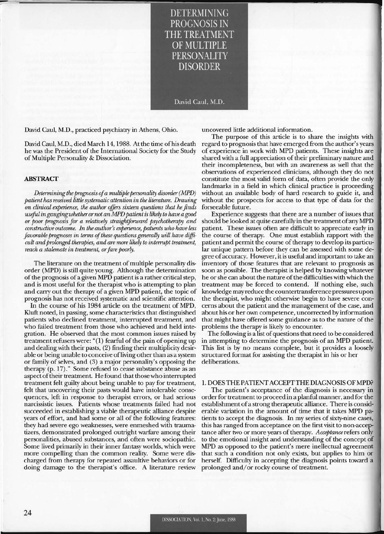DETERMINING PROGNOSIS IN THE TREATMEN OF MULTIPLE **PERSONALITY** DISORDER

David Caul, M.D.

David Caul, M.D., practiced psychiatry in Athens, Ohio.

David Caul, M.D., died March 14, 1988. At the time of his death he was the President of the International Society for the Study of Multiple Personality & Dissociation.

### ABSTRACT

*Determining the prognosis of a multiple personality disorder (MPD) patient* has *received little systematic attention in the literature. Drawing on clinical experience, the author offers sixteen questions that he finds useful in gauging whether or not an MPD patient* is *likely to have a good or poor prognosis for a relatively straightforward psychotherapy and constructive outcome. In the author's experience, patients who have less favorable prognoses in terms of these questions generaUy wiU have difficult and prolonged therapies, and are more likely to interrupt treatment, reach a stalemate in treatment, or fare poorly.* 

The literature on the treatment of multiple personality disorder (MPD) is still quite young. Although the determination of the prognosis of a given MPD patient is a rather critical step, and is most useful for the therapist who is attempting to plan and carry out the therapy of a given MPD patient, the topic of prognosis has not received systematic and scientific attention.

In the course of his 1984 article on the treatment of MPD, Kiuft noted, in passing, some characteristics that distinguished patients who declined treatment, interrupted treatment, and who failed treatment from those who achieved and held integration. He observed that the most common issues raised by treatment refusers were: "(1) fearful of the pain of opening up and dealing with their pasts, (2) finding their multiplicity desirable or being unable to conceive of living other than as a system or family of selves, and (3) a major personality's opposing the therapy (p. 17)." Some refused to cease substance abuse as an aspect of their treatment. He found that those who interrupted treatment felt guilty about being unable to pay for treatment, felt that uncovering their pasts would have intolerable consequences, left in response to therapist errors, or had serious narcissistic issues. Patients whose treatments failed had not succeeded in establishing a viable therapeutic alliance despite years of effort, and had some or all of the following features: they had severe ego weaknesses, were enmeshed with traumatizers, demonstrated prolonged outright warfare among their personalities, abused substances, and often were sociopathic. Some lived primarily in their inner fantasy worlds, which were more compelling than the common reality. Some were discharged from therapy for repeated assaultive behaviors or for doing damage to the therapist's office. A literature review

uncovered little additional information.

The purpose of this article is to share the insights with regard to prognosis that have emerged from the author's years of experience in work with MPD patients. These insights are shared with a full appreciation of their preliminary nature and their incompleteness, but with an awareness as well that the observations of experienced clinicians, although they do not constitute the most valid form of data, often provide the only landmarks in a field in which clinical practice is proceeding without an available body of hard research to guide it, and without the prospects for access to that type of data for the forseeable future.

Experience suggests that there are a number of issues that should be looked at quite carefully in the treatment of any MPD patient. These issues often are difficult to appreciate early in the course of therapy. One must establish rapport with the patient and permit the course of therapy to develop its particular unique pattern before they can be assessed with some degree of accuracy. However, it is useful and important to take an inventory of those features that are relevant to prognosis as soon as possible. The therapist is helped by knowing whatever he or she can about the nature of the difficulties with which the treatment may be forced to contend. If nothing else, such knowledge may reduce the countertransference pressures upon the therapist, who might otherwise begin to have severe concerns about the patient and the management of the case, and about his or her own competence, uncorrected by information that might have offered some guidance as to the nature of the problems the therapy is likely to encounter.

The following is a list of questions that need to be considered in attempting to determine the prognosis of an MPD patient. This list is by no means complete, but it provides a loosely structured format for assisting the therapist in his or her deliberations.

### 1. DOES THE PATIENT ACCEPTTHEDIAGNOSISOFMPD?

The patient's acceptance of the diagnosis is necessary in order for treatment to proceed in a planful manner, and for the establishment of a strong therapeutic alliance. There is considerable variation in the amount of time that it takes MPD patients to accept the diagnosis. In my series of sixty-nine cases, this has ranged from acceptance on the first visit to non-acceptance after two or more years of therapy. *Acceptance* refers only to the emotional insight and understanding of the concept of MPD as opposed to the patient's mere inellectual agreement that such a condition not only exists, but applies to him or herself. Difficulty in accepting the diagnosis points toward a prolonged and/ or rocky course of treatment.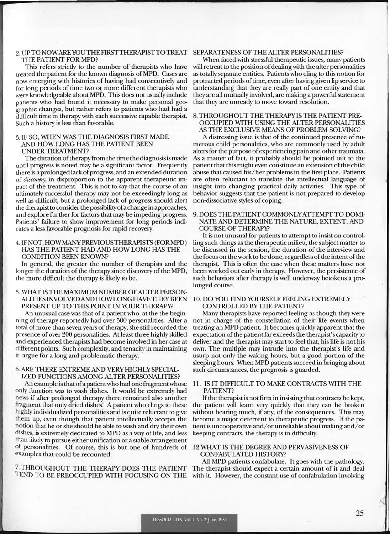#### 2. UPTONOWAREYOUTHEFIRSTTHERAPISTTOTREAT SEPARATENESS OF THE ALTER PERSONALITIES? THE PATIENT FOR MPD?

This refers strictly to the number of therapists who have treated the patient for the known diagnosis ofMPD. Cases are now emerging with histories of having had consecutively and for long periods of time two or more different therapists who were knowledgeable about MPD. This does not usually include patients who had found it necessary to make personal geographic changes, but rather refers to patients who had had a difficult time in therapy with each successive capable therapist. Such a history is less than favorable.

### 3. IF SO, WHEN WAS THE DIAGNOSIS FIRST MADE AND HOW LONG HAS THE PATIENT BEEN CNDER TREATMENT?

The duration of therapy from the time the diagnosis is made until progress is noted may be a significant factor. Frequently there is a prolonged lack of progress, and an extended duration of *discovery,* in disproportion to the apparent therapeutic impact of the treatment. This is not to say that the course of an ultimately successful therapy may not be exceedingly long as well as difficult, but a prolonged lack of progress should alert the therapist to consider the possibility of a change in approaches, and explore further for factors that may be impeding progress. Patients' failure to show improvement for long periods indicates a less favorable prognosis for rapid recovery.

# 4. IFNOT,HOWMANYPREVIOUSTHERAPISTS (FORMPD) HAS THE PATIENT HAD AND HOW LONG HAS THE CONDITION BEEN KNOWN?

In general, the greater the number of therapists and the longer the duration of the therapy since discovery of the MPD, the more difficult the therapy is likely to be.

# 5. WHAT IS THE MAXIMUM NUMBER OF ALTER PERSON-ALITIESINVOLVEDANDHOWLONGHAVETHEYBEEN 10. DO YOU FIND YOURSELF FEELING EXTREMELY PRESENT UP TO THIS POINT IN YOUR THERAPY? CONTROLLED BY THE PATIENT?

An unusual case was that of a patient who, at the the beginning of therapy reportedly had over 500 personalities. After a total of more than seven years of therapy, she still recorded the presence of over 200 personalities. At least three highly skilled and experienced therapists had become involved in her case at different points. Such complexity, and tenacity in maintaining it, argue for a long and problematic therapy.

# 6. ARE THERE EXTREME AND VERY HIGHLY SPECIAL-IZED FUNCTIONS AMONG ALTER PERSONALITIES?

An example is that of a patient who had one fragment whose only function was to wash dishes. It would be extremely bad news if after prolonged therapy there remained also another fragment that only dried dishes! A patient who clings to these highly individualized personalities and is quite reluctant to give them up, even though that patient intellectually accepts the notion that he or she should be able to wash and dry their own dishes, is extremely dedicated to MPD as a way of life, and less than likely to pursue either unification or a stable arrangement of personalities. Of course, this is but one of hundreds of examples that could be recounted.

7. THROUGHOUT THE THERAPY DOES THE PATIENT TEND TO BE PREOCCUPIED WITH FOCUSING ON THE

When faced with stressful therapeutic issues, many patients will retreat to the position of dealing with the alter personalities as totally separate entities. Patients who cling to this notion for protracted periods of time, even after having given lip service to understanding that they are really part of one entity and that they are all mutually involved, are making a powerful statement that they are unready to move toward resolution.

### 8. THROUGHOUT THE THERAPY IS THE PATIENT PRE-OCCUPIED WITH USING THE ALTER PERSONALITIES AS THE EXCLUSIVE MEANS OF PROBLEM SOLVING?

A distressing issue is that of the continued presence of numerous child personalities, who are commonly used by adult alters for the purpose of experiencing pain and other traumata. As a matter of fact, it probably should be pointed out to the patient that this might even constitute an extension of the child abuse that caused his/her problems in the first place. Patients are often reluctant to translate the intellectual language of insight into changing practical daily activities. This type of behavior suggests that the patient is not prepared to develop non-dissociative styles of coping.

# 9. DOES THE PATIENT COMMONLY ATTEMPT TO DOMI-NATE AND DETERMINE THE NATURE, EXTENT, AND COURSE OF THERAPY?

It is not unusual for patients to attempt to insist on controlling such things as the therapeutic milieu, the subject matter to be discussed in the session, the duration of the interview and the focus on the work to be done, regardless of the intent of the therapist. This is often the case when these matters have not been worked out early in therapy. However, the persistence of such behaviors after therapy is well underway betokens a prolonged course.

Many therapists have reported feeling as though they were not in charge of the constellation of their life events when treating an MPD patient. It becomes quickly apparent that the expectation of the patient far exceeds the therapist's capacity to deliver and the therapist may start to feel that, his life is not his own. The multiple may intrude into the therapist's life and usurp not only the waking hours, but a good portion of the sleeping hours. When MPD patients succeed in bringing about such circumstances, the prognosis is guarded.

# 11. IS IT DIFFICULT TO MAKE CONTRACTS WITH THE PATIENT?

If the therapist is not firm in insisting that contracts be kept, the patient will learn very quickly that they can be broken without bearing much, if any, of the consequences. This may become a major deterrent to therapeutic progress. If the patient is uncooperative and/ or unreliable about making and/ or keeping contracts, the therapy is in difficulty.

# 12.VVHAT IS THE DEGREE AND PERVASIVENESS OF CONFABULATED HISTORY?

All MPD patients confabulate. It goes with the pathology. The therapist should expect a certain amount of it and deal with it. However, the constant use of confabulation involving